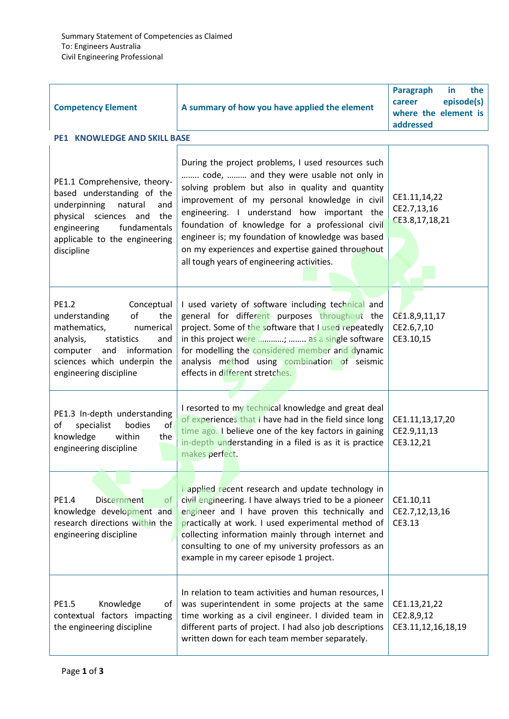| <b>Competency Element</b><br><b>PE1 KNOWLEDGE AND SKILL BASE</b>                                                                                                                                            | A summary of how you have applied the element                                                                                                                                                                                                                                                                                                                                                                                                                 | <b>Paragraph</b><br>the<br>in.<br>episode(s)<br>career<br>where the element is<br>addressed |
|-------------------------------------------------------------------------------------------------------------------------------------------------------------------------------------------------------------|---------------------------------------------------------------------------------------------------------------------------------------------------------------------------------------------------------------------------------------------------------------------------------------------------------------------------------------------------------------------------------------------------------------------------------------------------------------|---------------------------------------------------------------------------------------------|
|                                                                                                                                                                                                             |                                                                                                                                                                                                                                                                                                                                                                                                                                                               |                                                                                             |
| PE1.1 Comprehensive, theory-<br>based understanding of the<br>underpinning<br>natural<br>and<br>physical sciences and<br>the<br>fundamentals<br>engineering<br>applicable to the engineering<br>discipline  | During the project problems, I used resources such<br>code,  and they were usable not only in<br>solving problem but also in quality and quantity<br>improvement of my personal knowledge in civil<br>engineering. I understand how important the<br>foundation of knowledge for a professional civil<br>engineer is; my foundation of knowledge was based<br>on my experiences and expertise gained throughout<br>all tough years of engineering activities. | CE1.11,14,22<br>CE2.7,13,16<br>CE3.8,17,18,21                                               |
| PE1.2<br>Conceptual<br>understanding<br>of<br>the<br>mathematics,<br>numerical<br>analysis,<br>statistics<br>and<br>information<br>and<br>computer<br>sciences which underpin the<br>engineering discipline | I used variety of software including technical and<br>general for different purposes throughout the<br>project. Some of the software that I used repeatedly<br>in this project were ;  as a single software<br>for modelling the considered member and dynamic<br>analysis method using combination of seismic<br>effects in different stretches.                                                                                                             | CE1.8,9,11,17<br>CE2.6,7,10<br>CE3.10,15                                                    |
| PE1.3 In-depth understanding<br>bodies<br>specialist<br>of<br>of<br>knowledge<br>within<br>the<br>engineering discipline                                                                                    | I resorted to my technical knowledge and great deal<br>of experiences that I have had in the field since long<br>time ago. I believe one of the key factors in gaining<br>in-depth understanding in a filed is as it is practice<br>makes perfect.                                                                                                                                                                                                            | CE1.11,13,17,20<br>CE2.9,11,13<br>CE3.12,21                                                 |
| PE1.4<br><b>Discernment</b><br>0f<br>knowledge development and<br>research directions within the<br>engineering discipline                                                                                  | <b>Lapplied recent research and update technology in</b><br>civil engineering. I have always tried to be a pioneer<br>engineer and I have proven this technically and<br>practically at work. I used experimental method of<br>collecting information mainly through internet and<br>consulting to one of my university professors as an<br>example in my career episode 1 project.                                                                           | CE1.10,11<br>CE2.7,12,13,16<br>CE3.13                                                       |
| Knowledge<br>PE1.5<br>of<br>contextual factors impacting<br>the engineering discipline                                                                                                                      | In relation to team activities and human resources, I<br>was superintendent in some projects at the same<br>time working as a civil engineer. I divided team in<br>different parts of project. I had also job descriptions<br>written down for each team member separately.                                                                                                                                                                                   | CE1.13,21,22<br>CE2.8,9,12<br>CE3.11,12,16,18,19                                            |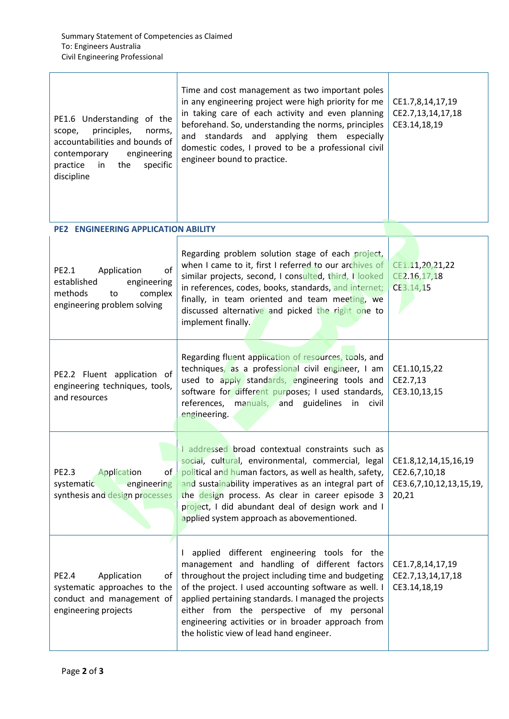| PE1.6 Understanding of the<br>principles,<br>scope,<br>norms.<br>accountabilities and bounds of<br>engineering<br>contemporary<br>specific<br>practice in<br>the<br>discipline | Time and cost management as two important poles<br>in any engineering project were high priority for me<br>in taking care of each activity and even planning<br>beforehand. So, understanding the norms, principles<br>and standards and applying them especially<br>domestic codes, I proved to be a professional civil<br>engineer bound to practice.                                                             | CE1.7,8,14,17,19<br>CE2.7,13,14,17,18<br>CE3.14,18,19                     |
|--------------------------------------------------------------------------------------------------------------------------------------------------------------------------------|---------------------------------------------------------------------------------------------------------------------------------------------------------------------------------------------------------------------------------------------------------------------------------------------------------------------------------------------------------------------------------------------------------------------|---------------------------------------------------------------------------|
| <b>PE2 ENGINEERING APPLICATION ABILITY</b>                                                                                                                                     |                                                                                                                                                                                                                                                                                                                                                                                                                     |                                                                           |
| PE2.1<br>Application<br>of<br>established<br>engineering<br>complex<br>methods<br>to<br>engineering problem solving                                                            | Regarding problem solution stage of each project,<br>when I came to it, first I referred to our archives of<br>similar projects, second, I consulted, third, I looked<br>in references, codes, books, standards, and internet;<br>finally, in team oriented and team meeting, we<br>discussed alternative and picked the right one to<br>implement finally.                                                         | CE1.11,20,21,22<br>CE2.16,17,18<br>CE3.14,15                              |
| PE2.2 Fluent application of<br>engineering techniques, tools,<br>and resources                                                                                                 | Regarding fluent application of resources, tools, and<br>techniques, as a professional civil engineer, I am<br>used to apply standards, engineering tools and<br>software for different purposes; I used standards,<br>references, manuals, and guidelines<br>in<br>civil<br>engineering.                                                                                                                           | CE1.10,15,22<br>CE2.7,13<br>CE3.10,13,15                                  |
| <b>PE2.3</b><br>Application<br>οf<br>systematic<br>engineering<br>synthesis and design processes                                                                               | I addressed broad contextual constraints such as<br>social, cultural, environmental, commercial, legal<br>political and human factors, as well as health, safety,<br>and sustainability imperatives as an integral part of<br>the design process. As clear in career episode 3<br>project, I did abundant deal of design work and I<br>applied system approach as abovementioned.                                   | CE1.8,12,14,15,16,19<br>CE2.6,7,10,18<br>CE3.6,7,10,12,13,15,19,<br>20,21 |
| <b>PE2.4</b><br>Application<br>οf<br>systematic approaches to the<br>conduct and management of<br>engineering projects                                                         | applied different engineering tools for the<br>management and handling of different factors<br>throughout the project including time and budgeting<br>of the project. I used accounting software as well. I<br>applied pertaining standards. I managed the projects<br>either from the perspective of my personal<br>engineering activities or in broader approach from<br>the holistic view of lead hand engineer. | CE1.7,8,14,17,19<br>CE2.7,13,14,17,18<br>CE3.14,18,19                     |